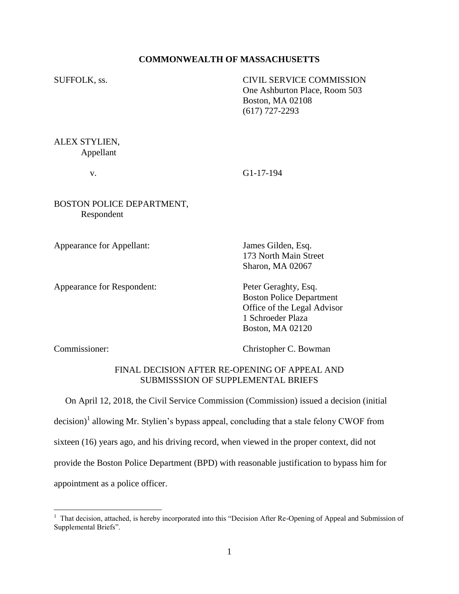# **COMMONWEALTH OF MASSACHUSETTS**

SUFFOLK, ss. CIVIL SERVICE COMMISSION One Ashburton Place, Room 503 Boston, MA 02108 (617) 727-2293

ALEX STYLIEN, Appellant

v. G1-17-194

BOSTON POLICE DEPARTMENT, Respondent

Appearance for Appellant: James Gilden, Esq.

Appearance for Respondent: Peter Geraghty, Esq.

173 North Main Street Sharon, MA 02067

Boston Police Department Office of the Legal Advisor 1 Schroeder Plaza Boston, MA 02120

 $\overline{a}$ 

Commissioner: Christopher C. Bowman

# FINAL DECISION AFTER RE-OPENING OF APPEAL AND SUBMISSSION OF SUPPLEMENTAL BRIEFS

 On April 12, 2018, the Civil Service Commission (Commission) issued a decision (initial decision)<sup>1</sup> allowing Mr. Stylien's bypass appeal, concluding that a stale felony CWOF from sixteen (16) years ago, and his driving record, when viewed in the proper context, did not provide the Boston Police Department (BPD) with reasonable justification to bypass him for appointment as a police officer.

<sup>&</sup>lt;sup>1</sup> That decision, attached, is hereby incorporated into this "Decision After Re-Opening of Appeal and Submission of Supplemental Briefs".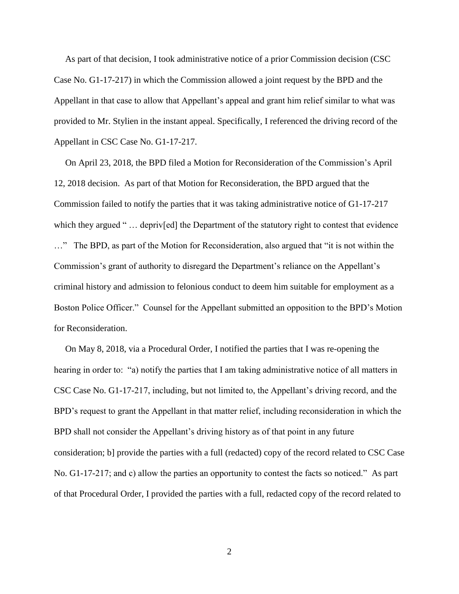As part of that decision, I took administrative notice of a prior Commission decision (CSC Case No. G1-17-217) in which the Commission allowed a joint request by the BPD and the Appellant in that case to allow that Appellant's appeal and grant him relief similar to what was provided to Mr. Stylien in the instant appeal. Specifically, I referenced the driving record of the Appellant in CSC Case No. G1-17-217.

 On April 23, 2018, the BPD filed a Motion for Reconsideration of the Commission's April 12, 2018 decision. As part of that Motion for Reconsideration, the BPD argued that the Commission failed to notify the parties that it was taking administrative notice of G1-17-217 which they argued "... depriv[ed] the Department of the statutory right to contest that evidence …" The BPD, as part of the Motion for Reconsideration, also argued that "it is not within the Commission's grant of authority to disregard the Department's reliance on the Appellant's criminal history and admission to felonious conduct to deem him suitable for employment as a Boston Police Officer." Counsel for the Appellant submitted an opposition to the BPD's Motion for Reconsideration.

 On May 8, 2018, via a Procedural Order, I notified the parties that I was re-opening the hearing in order to: "a) notify the parties that I am taking administrative notice of all matters in CSC Case No. G1-17-217, including, but not limited to, the Appellant's driving record, and the BPD's request to grant the Appellant in that matter relief, including reconsideration in which the BPD shall not consider the Appellant's driving history as of that point in any future consideration; b] provide the parties with a full (redacted) copy of the record related to CSC Case No. G1-17-217; and c) allow the parties an opportunity to contest the facts so noticed." As part of that Procedural Order, I provided the parties with a full, redacted copy of the record related to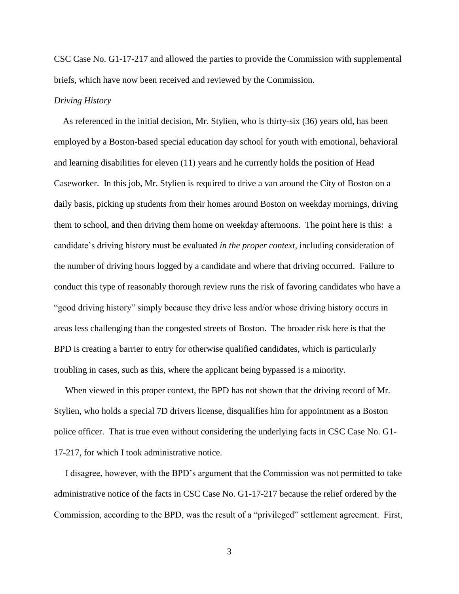CSC Case No. G1-17-217 and allowed the parties to provide the Commission with supplemental briefs, which have now been received and reviewed by the Commission.

# *Driving History*

 As referenced in the initial decision, Mr. Stylien, who is thirty-six (36) years old, has been employed by a Boston-based special education day school for youth with emotional, behavioral and learning disabilities for eleven (11) years and he currently holds the position of Head Caseworker. In this job, Mr. Stylien is required to drive a van around the City of Boston on a daily basis, picking up students from their homes around Boston on weekday mornings, driving them to school, and then driving them home on weekday afternoons. The point here is this: a candidate's driving history must be evaluated *in the proper context*, including consideration of the number of driving hours logged by a candidate and where that driving occurred. Failure to conduct this type of reasonably thorough review runs the risk of favoring candidates who have a "good driving history" simply because they drive less and/or whose driving history occurs in areas less challenging than the congested streets of Boston. The broader risk here is that the BPD is creating a barrier to entry for otherwise qualified candidates, which is particularly troubling in cases, such as this, where the applicant being bypassed is a minority.

 When viewed in this proper context, the BPD has not shown that the driving record of Mr. Stylien, who holds a special 7D drivers license, disqualifies him for appointment as a Boston police officer. That is true even without considering the underlying facts in CSC Case No. G1- 17-217, for which I took administrative notice.

 I disagree, however, with the BPD's argument that the Commission was not permitted to take administrative notice of the facts in CSC Case No. G1-17-217 because the relief ordered by the Commission, according to the BPD, was the result of a "privileged" settlement agreement. First,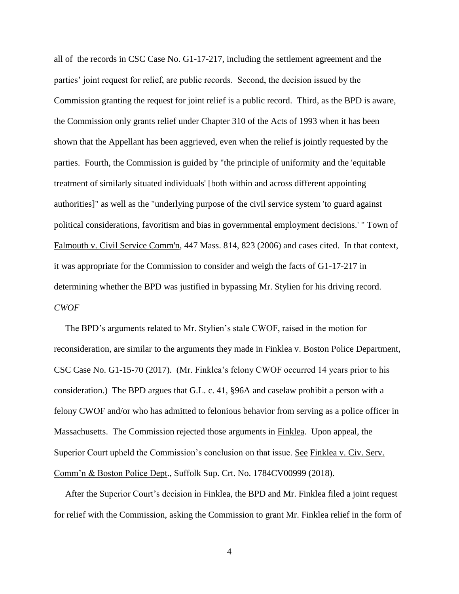all of the records in CSC Case No. G1-17-217, including the settlement agreement and the parties' joint request for relief, are public records. Second, the decision issued by the Commission granting the request for joint relief is a public record. Third, as the BPD is aware, the Commission only grants relief under Chapter 310 of the Acts of 1993 when it has been shown that the Appellant has been aggrieved, even when the relief is jointly requested by the parties. Fourth, the Commission is guided by "the principle of uniformity and the 'equitable treatment of similarly situated individuals' [both within and across different appointing authorities]" as well as the "underlying purpose of the civil service system 'to guard against political considerations, favoritism and bias in governmental employment decisions.' " Town of Falmouth v. Civil Service Comm'n, 447 Mass. 814, 823 (2006) and cases cited. In that context, it was appropriate for the Commission to consider and weigh the facts of G1-17-217 in determining whether the BPD was justified in bypassing Mr. Stylien for his driving record. *CWOF*

 The BPD's arguments related to Mr. Stylien's stale CWOF, raised in the motion for reconsideration, are similar to the arguments they made in Finklea v. Boston Police Department, CSC Case No. G1-15-70 (2017). (Mr. Finklea's felony CWOF occurred 14 years prior to his consideration.) The BPD argues that G.L. c. 41, §96A and caselaw prohibit a person with a felony CWOF and/or who has admitted to felonious behavior from serving as a police officer in Massachusetts. The Commission rejected those arguments in Finklea. Upon appeal, the Superior Court upheld the Commission's conclusion on that issue. See Finklea v. Civ. Serv. Comm'n & Boston Police Dept., Suffolk Sup. Crt. No. 1784CV00999 (2018).

 After the Superior Court's decision in Finklea, the BPD and Mr. Finklea filed a joint request for relief with the Commission, asking the Commission to grant Mr. Finklea relief in the form of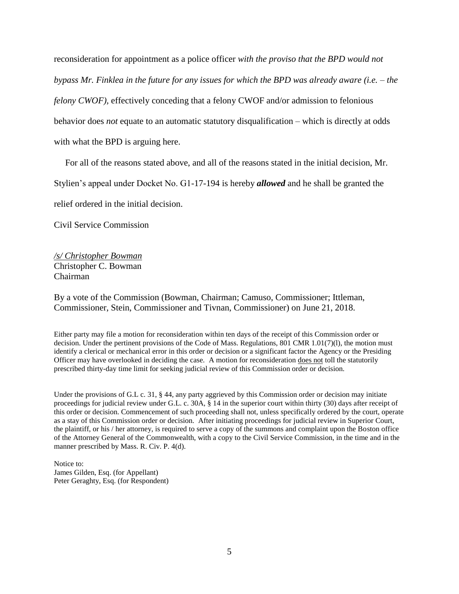reconsideration for appointment as a police officer *with the proviso that the BPD would not bypass Mr. Finklea in the future for any issues for which the BPD was already aware (i.e. – the felony CWOF),* effectively conceding that a felony CWOF and/or admission to felonious behavior does *not* equate to an automatic statutory disqualification – which is directly at odds with what the BPD is arguing here.

For all of the reasons stated above, and all of the reasons stated in the initial decision, Mr.

Stylien's appeal under Docket No. G1-17-194 is hereby *allowed* and he shall be granted the

relief ordered in the initial decision.

Civil Service Commission

*/s/ Christopher Bowman* Christopher C. Bowman Chairman

By a vote of the Commission (Bowman, Chairman; Camuso, Commissioner; Ittleman, Commissioner, Stein, Commissioner and Tivnan, Commissioner) on June 21, 2018.

Either party may file a motion for reconsideration within ten days of the receipt of this Commission order or decision. Under the pertinent provisions of the Code of Mass. Regulations, 801 CMR 1.01(7)(l), the motion must identify a clerical or mechanical error in this order or decision or a significant factor the Agency or the Presiding Officer may have overlooked in deciding the case. A motion for reconsideration does not toll the statutorily prescribed thirty-day time limit for seeking judicial review of this Commission order or decision.

Under the provisions of G.L c. 31, § 44, any party aggrieved by this Commission order or decision may initiate proceedings for judicial review under G.L. c. 30A, § 14 in the superior court within thirty (30) days after receipt of this order or decision. Commencement of such proceeding shall not, unless specifically ordered by the court, operate as a stay of this Commission order or decision. After initiating proceedings for judicial review in Superior Court, the plaintiff, or his / her attorney, is required to serve a copy of the summons and complaint upon the Boston office of the Attorney General of the Commonwealth, with a copy to the Civil Service Commission, in the time and in the manner prescribed by Mass. R. Civ. P. 4(d).

Notice to: James Gilden, Esq. (for Appellant) Peter Geraghty, Esq. (for Respondent)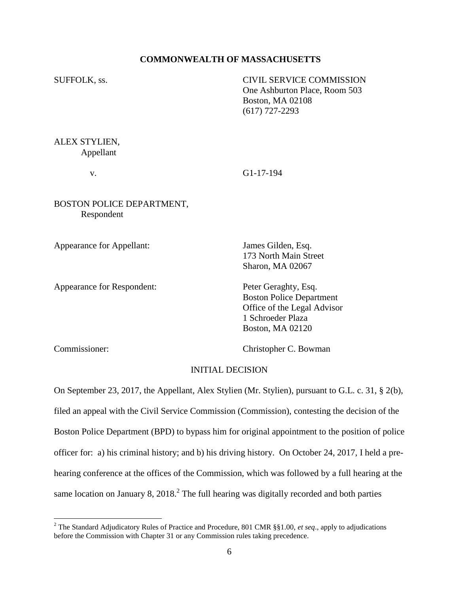# **COMMONWEALTH OF MASSACHUSETTS**

SUFFOLK, ss. CIVIL SERVICE COMMISSION One Ashburton Place, Room 503 Boston, MA 02108 (617) 727-2293

ALEX STYLIEN, Appellant

v. G1-17-194

BOSTON POLICE DEPARTMENT, Respondent

Appearance for Appellant: James Gilden, Esq.

Appearance for Respondent: Peter Geraghty, Esq.

173 North Main Street Sharon, MA 02067

Boston Police Department Office of the Legal Advisor 1 Schroeder Plaza Boston, MA 02120

 $\overline{a}$ 

Commissioner: Christopher C. Bowman

#### INITIAL DECISION

On September 23, 2017, the Appellant, Alex Stylien (Mr. Stylien), pursuant to G.L. c. 31, § 2(b), filed an appeal with the Civil Service Commission (Commission), contesting the decision of the Boston Police Department (BPD) to bypass him for original appointment to the position of police officer for: a) his criminal history; and b) his driving history. On October 24, 2017, I held a prehearing conference at the offices of the Commission, which was followed by a full hearing at the same location on January 8,  $2018<sup>2</sup>$ . The full hearing was digitally recorded and both parties

<sup>2</sup> The Standard Adjudicatory Rules of Practice and Procedure, 801 CMR §§1.00, *et seq*., apply to adjudications before the Commission with Chapter 31 or any Commission rules taking precedence.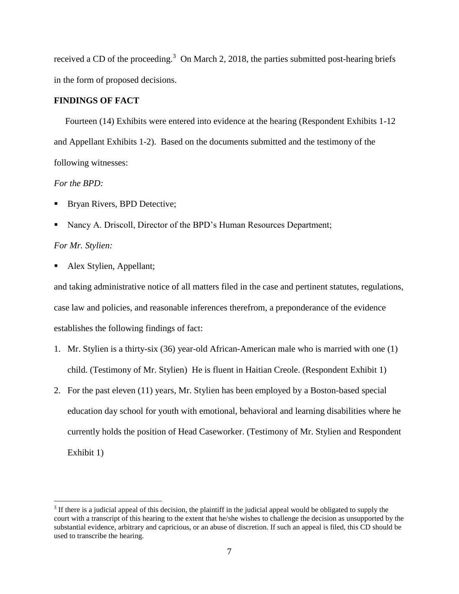received a CD of the proceeding.<sup>3</sup> On March 2, 2018, the parties submitted post-hearing briefs in the form of proposed decisions.

# **FINDINGS OF FACT**

 Fourteen (14) Exhibits were entered into evidence at the hearing (Respondent Exhibits 1-12 and Appellant Exhibits 1-2). Based on the documents submitted and the testimony of the following witnesses:

# *For the BPD:*

- Bryan Rivers, BPD Detective;
- Nancy A. Driscoll, Director of the BPD's Human Resources Department;

# *For Mr. Stylien:*

 $\overline{a}$ 

Alex Stylien, Appellant;

and taking administrative notice of all matters filed in the case and pertinent statutes, regulations, case law and policies, and reasonable inferences therefrom, a preponderance of the evidence establishes the following findings of fact:

- 1. Mr. Stylien is a thirty-six (36) year-old African-American male who is married with one (1) child. (Testimony of Mr. Stylien) He is fluent in Haitian Creole. (Respondent Exhibit 1)
- 2. For the past eleven (11) years, Mr. Stylien has been employed by a Boston-based special education day school for youth with emotional, behavioral and learning disabilities where he currently holds the position of Head Caseworker. (Testimony of Mr. Stylien and Respondent Exhibit 1)

 $3$  If there is a judicial appeal of this decision, the plaintiff in the judicial appeal would be obligated to supply the court with a transcript of this hearing to the extent that he/she wishes to challenge the decision as unsupported by the substantial evidence, arbitrary and capricious, or an abuse of discretion. If such an appeal is filed, this CD should be used to transcribe the hearing.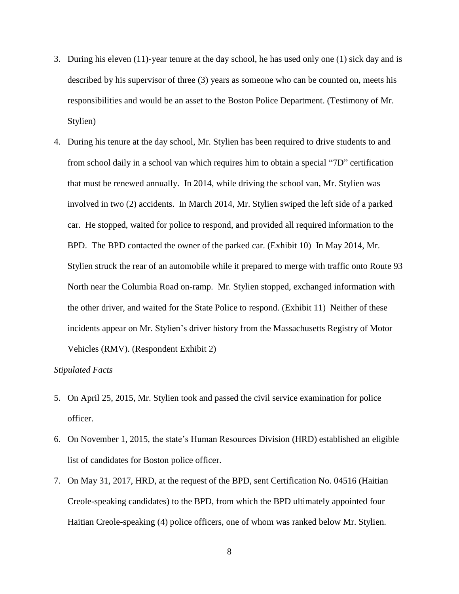- 3. During his eleven (11)-year tenure at the day school, he has used only one (1) sick day and is described by his supervisor of three (3) years as someone who can be counted on, meets his responsibilities and would be an asset to the Boston Police Department. (Testimony of Mr. Stylien)
- 4. During his tenure at the day school, Mr. Stylien has been required to drive students to and from school daily in a school van which requires him to obtain a special "7D" certification that must be renewed annually. In 2014, while driving the school van, Mr. Stylien was involved in two (2) accidents. In March 2014, Mr. Stylien swiped the left side of a parked car. He stopped, waited for police to respond, and provided all required information to the BPD. The BPD contacted the owner of the parked car. (Exhibit 10) In May 2014, Mr. Stylien struck the rear of an automobile while it prepared to merge with traffic onto Route 93 North near the Columbia Road on-ramp. Mr. Stylien stopped, exchanged information with the other driver, and waited for the State Police to respond. (Exhibit 11) Neither of these incidents appear on Mr. Stylien's driver history from the Massachusetts Registry of Motor Vehicles (RMV). (Respondent Exhibit 2)

# *Stipulated Facts*

- 5. On April 25, 2015, Mr. Stylien took and passed the civil service examination for police officer.
- 6. On November 1, 2015, the state's Human Resources Division (HRD) established an eligible list of candidates for Boston police officer.
- 7. On May 31, 2017, HRD, at the request of the BPD, sent Certification No. 04516 (Haitian Creole-speaking candidates) to the BPD, from which the BPD ultimately appointed four Haitian Creole-speaking (4) police officers, one of whom was ranked below Mr. Stylien.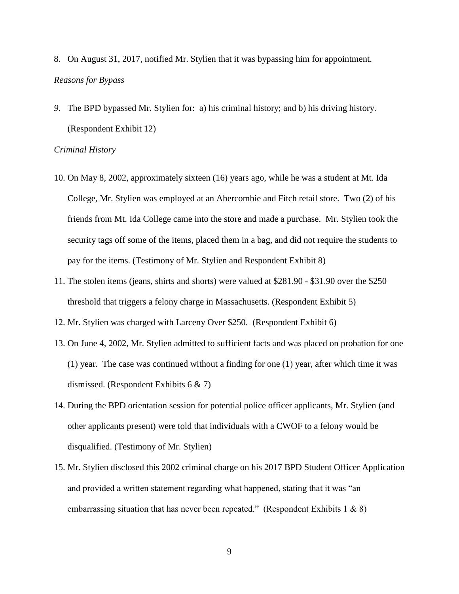- 8. On August 31, 2017, notified Mr. Stylien that it was bypassing him for appointment. *Reasons for Bypass*
- *9.* The BPD bypassed Mr. Stylien for: a) his criminal history; and b) his driving history. (Respondent Exhibit 12)

#### *Criminal History*

- 10. On May 8, 2002, approximately sixteen (16) years ago, while he was a student at Mt. Ida College, Mr. Stylien was employed at an Abercombie and Fitch retail store. Two (2) of his friends from Mt. Ida College came into the store and made a purchase. Mr. Stylien took the security tags off some of the items, placed them in a bag, and did not require the students to pay for the items. (Testimony of Mr. Stylien and Respondent Exhibit 8)
- 11. The stolen items (jeans, shirts and shorts) were valued at \$281.90 \$31.90 over the \$250 threshold that triggers a felony charge in Massachusetts. (Respondent Exhibit 5)
- 12. Mr. Stylien was charged with Larceny Over \$250. (Respondent Exhibit 6)
- 13. On June 4, 2002, Mr. Stylien admitted to sufficient facts and was placed on probation for one (1) year. The case was continued without a finding for one (1) year, after which time it was dismissed. (Respondent Exhibits 6 & 7)
- 14. During the BPD orientation session for potential police officer applicants, Mr. Stylien (and other applicants present) were told that individuals with a CWOF to a felony would be disqualified. (Testimony of Mr. Stylien)
- 15. Mr. Stylien disclosed this 2002 criminal charge on his 2017 BPD Student Officer Application and provided a written statement regarding what happened, stating that it was "an embarrassing situation that has never been repeated." (Respondent Exhibits 1  $\&$  8)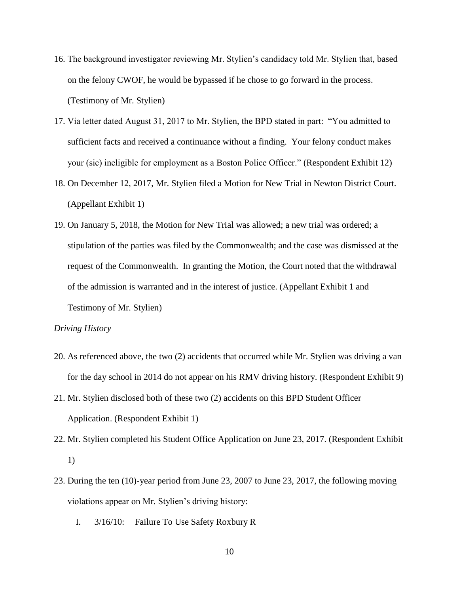- 16. The background investigator reviewing Mr. Stylien's candidacy told Mr. Stylien that, based on the felony CWOF, he would be bypassed if he chose to go forward in the process. (Testimony of Mr. Stylien)
- 17. Via letter dated August 31, 2017 to Mr. Stylien, the BPD stated in part: "You admitted to sufficient facts and received a continuance without a finding. Your felony conduct makes your (sic) ineligible for employment as a Boston Police Officer." (Respondent Exhibit 12)
- 18. On December 12, 2017, Mr. Stylien filed a Motion for New Trial in Newton District Court. (Appellant Exhibit 1)
- 19. On January 5, 2018, the Motion for New Trial was allowed; a new trial was ordered; a stipulation of the parties was filed by the Commonwealth; and the case was dismissed at the request of the Commonwealth. In granting the Motion, the Court noted that the withdrawal of the admission is warranted and in the interest of justice. (Appellant Exhibit 1 and Testimony of Mr. Stylien)

#### *Driving History*

- 20. As referenced above, the two (2) accidents that occurred while Mr. Stylien was driving a van for the day school in 2014 do not appear on his RMV driving history. (Respondent Exhibit 9)
- 21. Mr. Stylien disclosed both of these two (2) accidents on this BPD Student Officer Application. (Respondent Exhibit 1)
- 22. Mr. Stylien completed his Student Office Application on June 23, 2017. (Respondent Exhibit 1)
- 23. During the ten (10)-year period from June 23, 2007 to June 23, 2017, the following moving violations appear on Mr. Stylien's driving history:
	- I. 3/16/10: Failure To Use Safety Roxbury R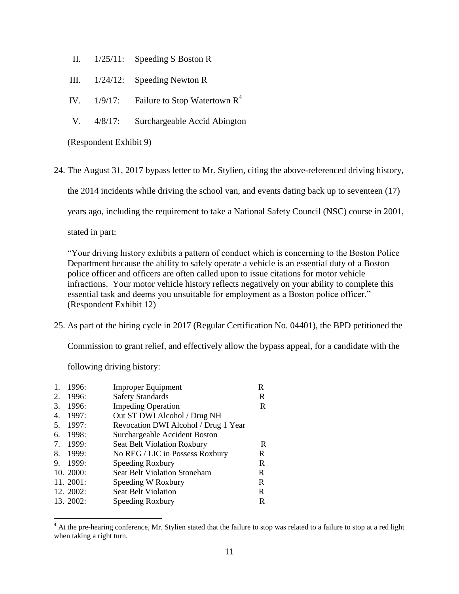- II. 1/25/11: Speeding S Boston R
- III. 1/24/12: Speeding Newton R
- IV.  $1/9/17$ : Failure to Stop Watertown  $R^4$
- V. 4/8/17: Surchargeable Accid Abington

(Respondent Exhibit 9)

24. The August 31, 2017 bypass letter to Mr. Stylien, citing the above-referenced driving history,

the 2014 incidents while driving the school van, and events dating back up to seventeen (17)

years ago, including the requirement to take a National Safety Council (NSC) course in 2001,

stated in part:

"Your driving history exhibits a pattern of conduct which is concerning to the Boston Police Department because the ability to safely operate a vehicle is an essential duty of a Boston police officer and officers are often called upon to issue citations for motor vehicle infractions. Your motor vehicle history reflects negatively on your ability to complete this essential task and deems you unsuitable for employment as a Boston police officer." (Respondent Exhibit 12)

25. As part of the hiring cycle in 2017 (Regular Certification No. 04401), the BPD petitioned the

Commission to grant relief, and effectively allow the bypass appeal, for a candidate with the

following driving history:

 $\overline{a}$ 

| 1. | 1996:     | <b>Improper Equipment</b>            | R |
|----|-----------|--------------------------------------|---|
| 2. | 1996:     | <b>Safety Standards</b>              | R |
| 3. | 1996:     | <b>Impeding Operation</b>            | R |
| 4. | 1997:     | Out ST DWI Alcohol / Drug NH         |   |
| 5. | 1997:     | Revocation DWI Alcohol / Drug 1 Year |   |
| 6. | 1998:     | Surchargeable Accident Boston        |   |
| 7. | 1999:     | <b>Seat Belt Violation Roxbury</b>   | R |
| 8. | 1999:     | No REG / LIC in Possess Roxbury      | R |
| 9. | 1999:     | Speeding Roxbury                     | R |
|    | 10.2000:  | <b>Seat Belt Violation Stoneham</b>  | R |
|    | 11. 2001: | Speeding W Roxbury                   | R |
|    | 12. 2002: | <b>Seat Belt Violation</b>           | R |
|    | 13. 2002: | Speeding Roxbury                     | R |
|    |           |                                      |   |

<sup>&</sup>lt;sup>4</sup> At the pre-hearing conference, Mr. Stylien stated that the failure to stop was related to a failure to stop at a red light when taking a right turn.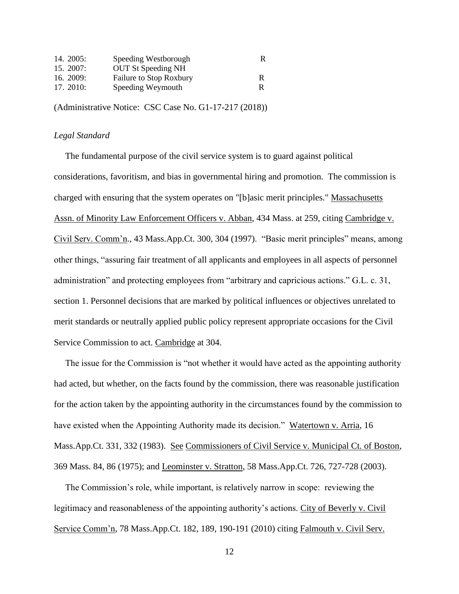| 14. 2005:   | Speeding Westborough      | R |
|-------------|---------------------------|---|
| 15.2007:    | <b>OUT St Speeding NH</b> |   |
| 16. $2009:$ | Failure to Stop Roxbury   | R |
| 17. 2010:   | Speeding Weymouth         |   |

(Administrative Notice: CSC Case No. G1-17-217 (2018))

### *Legal Standard*

 The fundamental purpose of the civil service system is to guard against political considerations, favoritism, and bias in governmental hiring and promotion. The commission is charged with ensuring that the system operates on "[b]asic merit principles." Massachusetts Assn. of Minority Law Enforcement Officers v. Abban, 434 Mass. at 259, citing Cambridge v. Civil Serv. Comm'n., 43 Mass.App.Ct. 300, 304 (1997). "Basic merit principles" means, among other things, "assuring fair treatment of all applicants and employees in all aspects of personnel administration" and protecting employees from "arbitrary and capricious actions." G.L. c. 31, section 1. Personnel decisions that are marked by political influences or objectives unrelated to merit standards or neutrally applied public policy represent appropriate occasions for the Civil Service Commission to act. Cambridge at 304.

 The issue for the Commission is "not whether it would have acted as the appointing authority had acted, but whether, on the facts found by the commission, there was reasonable justification for the action taken by the appointing authority in the circumstances found by the commission to have existed when the Appointing Authority made its decision." Watertown v. Arria, 16 Mass.App.Ct. 331, 332 (1983). See Commissioners of Civil Service v. Municipal Ct. of Boston, 369 Mass. 84, 86 (1975); and Leominster v. Stratton, 58 Mass.App.Ct. 726, 727-728 (2003).

 The Commission's role, while important, is relatively narrow in scope: reviewing the legitimacy and reasonableness of the appointing authority's actions. City of Beverly v. Civil Service Comm'n, 78 Mass.App.Ct. 182, 189, 190-191 (2010) citing Falmouth v. Civil Serv.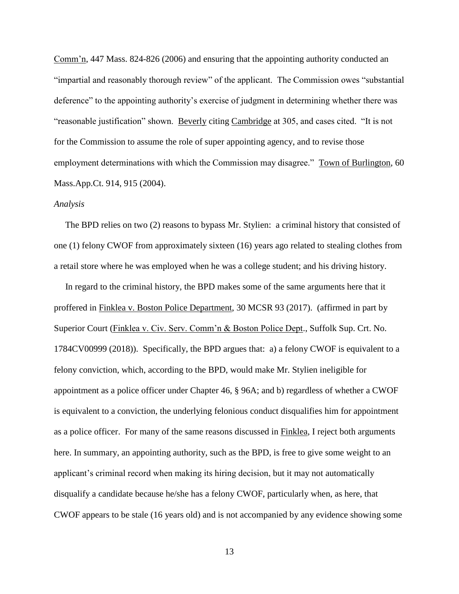Comm'n, 447 Mass. 824-826 (2006) and ensuring that the appointing authority conducted an "impartial and reasonably thorough review" of the applicant. The Commission owes "substantial deference" to the appointing authority's exercise of judgment in determining whether there was "reasonable justification" shown. Beverly citing Cambridge at 305, and cases cited. "It is not for the Commission to assume the role of super appointing agency, and to revise those employment determinations with which the Commission may disagree." Town of Burlington, 60 Mass.App.Ct. 914, 915 (2004).

#### *Analysis*

 The BPD relies on two (2) reasons to bypass Mr. Stylien: a criminal history that consisted of one (1) felony CWOF from approximately sixteen (16) years ago related to stealing clothes from a retail store where he was employed when he was a college student; and his driving history.

 In regard to the criminal history, the BPD makes some of the same arguments here that it proffered in Finklea v. Boston Police Department, 30 MCSR 93 (2017). (affirmed in part by Superior Court (Finklea v. Civ. Serv. Comm'n & Boston Police Dept., Suffolk Sup. Crt. No. 1784CV00999 (2018)). Specifically, the BPD argues that: a) a felony CWOF is equivalent to a felony conviction, which, according to the BPD, would make Mr. Stylien ineligible for appointment as a police officer under Chapter 46, § 96A; and b) regardless of whether a CWOF is equivalent to a conviction, the underlying felonious conduct disqualifies him for appointment as a police officer. For many of the same reasons discussed in Finklea, I reject both arguments here. In summary, an appointing authority, such as the BPD, is free to give some weight to an applicant's criminal record when making its hiring decision, but it may not automatically disqualify a candidate because he/she has a felony CWOF, particularly when, as here, that CWOF appears to be stale (16 years old) and is not accompanied by any evidence showing some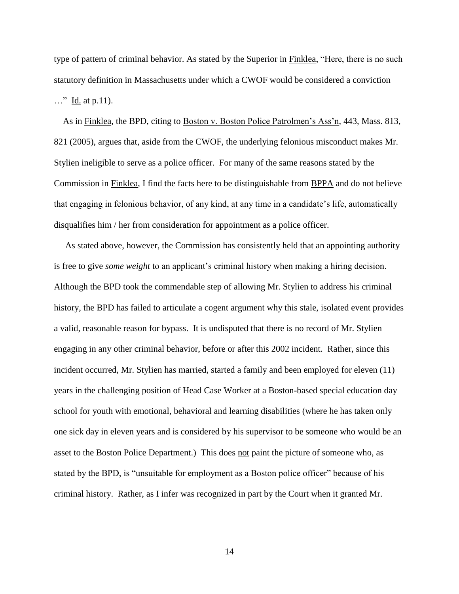type of pattern of criminal behavior. As stated by the Superior in Finklea, "Here, there is no such statutory definition in Massachusetts under which a CWOF would be considered a conviction …" Id. at p.11).

 As in Finklea, the BPD, citing to Boston v. Boston Police Patrolmen's Ass'n, 443, Mass. 813, 821 (2005), argues that, aside from the CWOF, the underlying felonious misconduct makes Mr. Stylien ineligible to serve as a police officer. For many of the same reasons stated by the Commission in Finklea, I find the facts here to be distinguishable from BPPA and do not believe that engaging in felonious behavior, of any kind, at any time in a candidate's life, automatically disqualifies him / her from consideration for appointment as a police officer.

 As stated above, however, the Commission has consistently held that an appointing authority is free to give *some weight* to an applicant's criminal history when making a hiring decision. Although the BPD took the commendable step of allowing Mr. Stylien to address his criminal history, the BPD has failed to articulate a cogent argument why this stale, isolated event provides a valid, reasonable reason for bypass. It is undisputed that there is no record of Mr. Stylien engaging in any other criminal behavior, before or after this 2002 incident. Rather, since this incident occurred, Mr. Stylien has married, started a family and been employed for eleven (11) years in the challenging position of Head Case Worker at a Boston-based special education day school for youth with emotional, behavioral and learning disabilities (where he has taken only one sick day in eleven years and is considered by his supervisor to be someone who would be an asset to the Boston Police Department.) This does not paint the picture of someone who, as stated by the BPD, is "unsuitable for employment as a Boston police officer" because of his criminal history. Rather, as I infer was recognized in part by the Court when it granted Mr.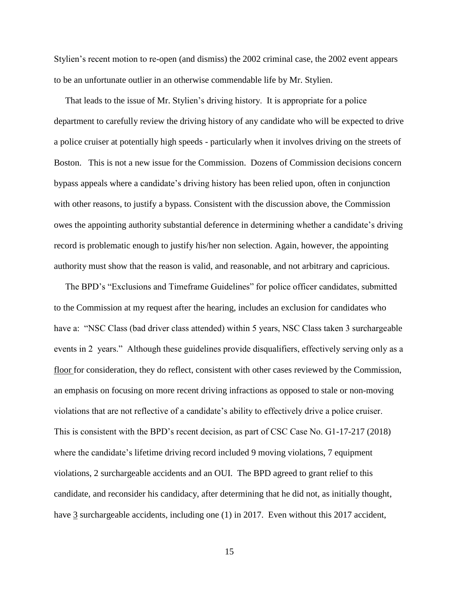Stylien's recent motion to re-open (and dismiss) the 2002 criminal case, the 2002 event appears to be an unfortunate outlier in an otherwise commendable life by Mr. Stylien.

 That leads to the issue of Mr. Stylien's driving history. It is appropriate for a police department to carefully review the driving history of any candidate who will be expected to drive a police cruiser at potentially high speeds - particularly when it involves driving on the streets of Boston. This is not a new issue for the Commission. Dozens of Commission decisions concern bypass appeals where a candidate's driving history has been relied upon, often in conjunction with other reasons, to justify a bypass. Consistent with the discussion above, the Commission owes the appointing authority substantial deference in determining whether a candidate's driving record is problematic enough to justify his/her non selection. Again, however, the appointing authority must show that the reason is valid, and reasonable, and not arbitrary and capricious.

 The BPD's "Exclusions and Timeframe Guidelines" for police officer candidates, submitted to the Commission at my request after the hearing, includes an exclusion for candidates who have a: "NSC Class (bad driver class attended) within 5 years, NSC Class taken 3 surchargeable events in 2 years." Although these guidelines provide disqualifiers, effectively serving only as a floor for consideration, they do reflect, consistent with other cases reviewed by the Commission, an emphasis on focusing on more recent driving infractions as opposed to stale or non-moving violations that are not reflective of a candidate's ability to effectively drive a police cruiser. This is consistent with the BPD's recent decision, as part of CSC Case No. G1-17-217 (2018) where the candidate's lifetime driving record included 9 moving violations, 7 equipment violations, 2 surchargeable accidents and an OUI. The BPD agreed to grant relief to this candidate, and reconsider his candidacy, after determining that he did not, as initially thought, have 3 surchargeable accidents, including one (1) in 2017. Even without this 2017 accident,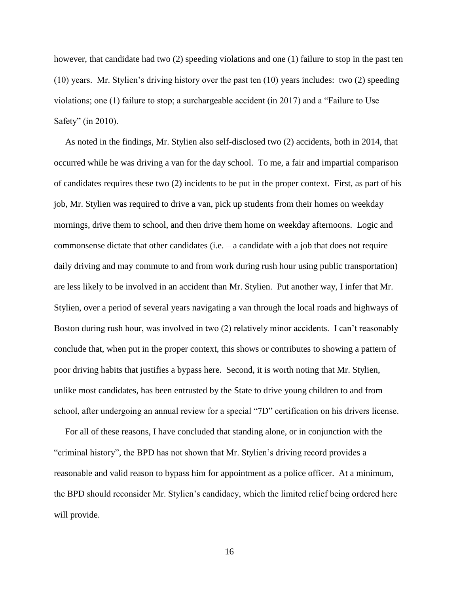however, that candidate had two (2) speeding violations and one (1) failure to stop in the past ten (10) years. Mr. Stylien's driving history over the past ten (10) years includes: two (2) speeding violations; one (1) failure to stop; a surchargeable accident (in 2017) and a "Failure to Use Safety" (in 2010).

 As noted in the findings, Mr. Stylien also self-disclosed two (2) accidents, both in 2014, that occurred while he was driving a van for the day school. To me, a fair and impartial comparison of candidates requires these two (2) incidents to be put in the proper context. First, as part of his job, Mr. Stylien was required to drive a van, pick up students from their homes on weekday mornings, drive them to school, and then drive them home on weekday afternoons. Logic and commonsense dictate that other candidates (i.e. – a candidate with a job that does not require daily driving and may commute to and from work during rush hour using public transportation) are less likely to be involved in an accident than Mr. Stylien. Put another way, I infer that Mr. Stylien, over a period of several years navigating a van through the local roads and highways of Boston during rush hour, was involved in two (2) relatively minor accidents. I can't reasonably conclude that, when put in the proper context, this shows or contributes to showing a pattern of poor driving habits that justifies a bypass here. Second, it is worth noting that Mr. Stylien, unlike most candidates, has been entrusted by the State to drive young children to and from school, after undergoing an annual review for a special "7D" certification on his drivers license.

 For all of these reasons, I have concluded that standing alone, or in conjunction with the "criminal history", the BPD has not shown that Mr. Stylien's driving record provides a reasonable and valid reason to bypass him for appointment as a police officer. At a minimum, the BPD should reconsider Mr. Stylien's candidacy, which the limited relief being ordered here will provide.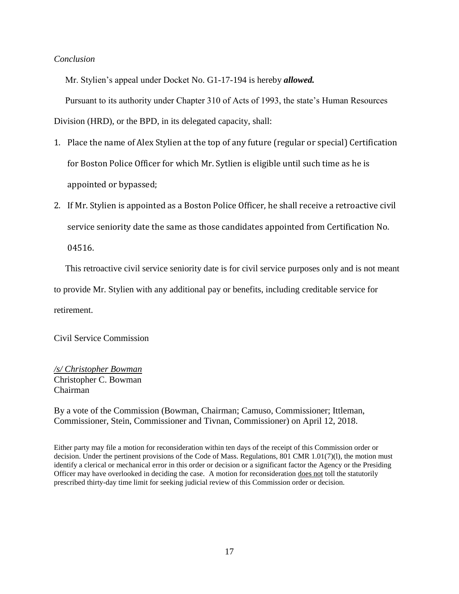# *Conclusion*

Mr. Stylien's appeal under Docket No. G1-17-194 is hereby *allowed.*

Pursuant to its authority under Chapter 310 of Acts of 1993, the state's Human Resources

Division (HRD), or the BPD, in its delegated capacity, shall:

- 1. Place the name of Alex Stylien at the top of any future (regular or special) Certification for Boston Police Officer for which Mr. Sytlien is eligible until such time as he is appointed or bypassed;
- 2. If Mr. Stylien is appointed as a Boston Police Officer, he shall receive a retroactive civil service seniority date the same as those candidates appointed from Certification No.

04516.

This retroactive civil service seniority date is for civil service purposes only and is not meant

to provide Mr. Stylien with any additional pay or benefits, including creditable service for

retirement.

Civil Service Commission

*/s/ Christopher Bowman* Christopher C. Bowman Chairman

By a vote of the Commission (Bowman, Chairman; Camuso, Commissioner; Ittleman, Commissioner, Stein, Commissioner and Tivnan, Commissioner) on April 12, 2018.

Either party may file a motion for reconsideration within ten days of the receipt of this Commission order or decision. Under the pertinent provisions of the Code of Mass. Regulations, 801 CMR 1.01(7)(l), the motion must identify a clerical or mechanical error in this order or decision or a significant factor the Agency or the Presiding Officer may have overlooked in deciding the case. A motion for reconsideration does not toll the statutorily prescribed thirty-day time limit for seeking judicial review of this Commission order or decision.